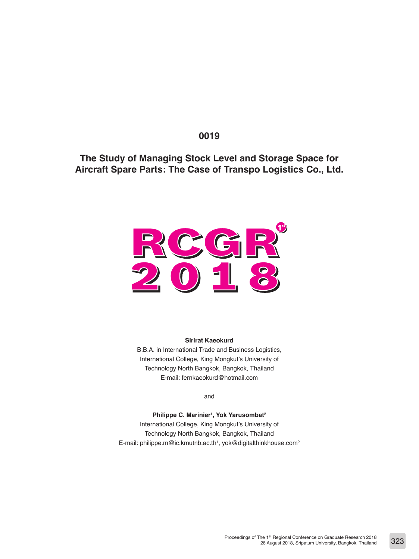# **0019**

**The Study of Managing Stock Level and Storage Space for Aircraft Spare Parts: The Case of Transpo Logistics Co., Ltd.**



#### **Sirirat Kaeokurd**

B.B.A. in International Trade and Business Logistics, International College, King Mongkut's University of Technology North Bangkok, Bangkok, Thailand E-mail: fernkaeokurd@hotmail.com

and

**Philippe C. Marinier1 , Yok Yarusombat2** International College, King Mongkut's University of Technology North Bangkok, Bangkok, Thailand E-mail: philippe.m@ic.kmutnb.ac.th<sup>1</sup>, yok@digitalthinkhouse.com<sup>2</sup>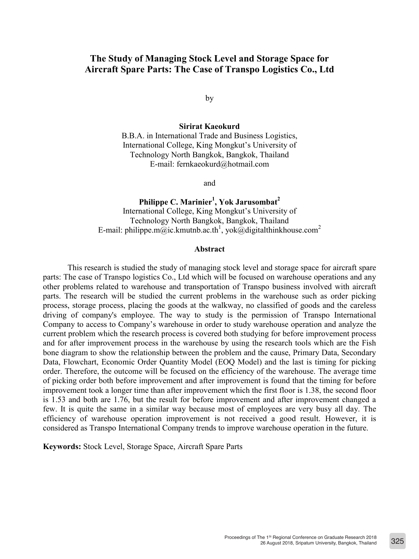# **The Study of Managing Stock Level and Storage Space for Aircraft Spare Parts: The Case of Transpo Logistics Co., Ltd**

by

**Sirirat Kaeokurd**

B.B.A. in International Trade and Business Logistics, International College, King Mongkut's University of Technology North Bangkok, Bangkok, Thailand E-mail: fernkaeokurd@hotmail.com

and

Philippe C. Marinier<sup>1</sup>, Yok Jarusombat<sup>2</sup> International College, King Mongkut's University of Technology North Bangkok, Bangkok, Thailand E-mail: philippe.m@ic.kmutnb.ac.th<sup>1</sup>, yok@digitalthinkhouse.com<sup>2</sup>

### **Abstract**

This research is studied the study of managing stock level and storage space for aircraft spare parts: The case of Transpo logistics Co., Ltd which will be focused on warehouse operations and any other problems related to warehouse and transportation of Transpo business involved with aircraft parts. The research will be studied the current problems in the warehouse such as order picking process, storage process, placing the goods at the walkway, no classified of goods and the careless driving of company's employee. The way to study is the permission of Transpo International Company to access to Company's warehouse in order to study warehouse operation and analyze the current problem which the research process is covered both studying for before improvement process and for after improvement process in the warehouse by using the research tools which are the Fish bone diagram to show the relationship between the problem and the cause, Primary Data, Secondary Data, Flowchart, Economic Order Quantity Model (EOQ Model) and the last is timing for picking order. Therefore, the outcome will be focused on the efficiency of the warehouse. The average time of picking order both before improvement and after improvement is found that the timing for before improvement took a longer time than after improvement which the first floor is 1.38, the second floor is 1.53 and both are 1.76, but the result for before improvement and after improvement changed a few. It is quite the same in a similar way because most of employees are very busy all day. The efficiency of warehouse operation improvement is not received a good result. However, it is considered as Transpo International Company trends to improve warehouse operation in the future.

**Keywords:** Stock Level, Storage Space, Aircraft Spare Parts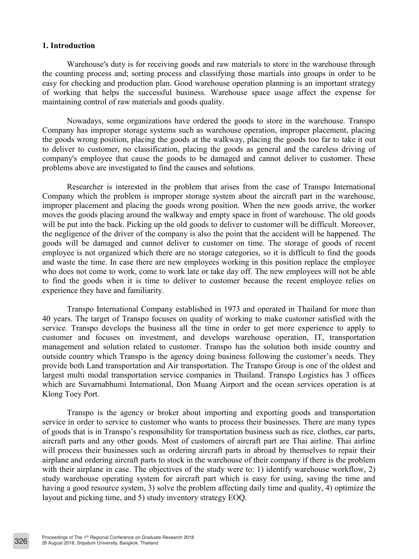## **1. Introduction**

Warehouse's duty is for receiving goods and raw materials to store in the warehouse through the counting process and; sorting process and classifying those martials into groups in order to be easy for checking and production plan. Good warehouse operation planning is an important strategy of working that helps the successful business. Warehouse space usage affect the expense for maintaining control of raw materials and goods quality.

Nowadays, some organizations have ordered the goods to store in the warehouse. Transpo Company has improper storage systems such as warehouse operation, improper placement, placing the goods wrong position, placing the goods at the walkway, placing the goods too far to take it out to deliver to customer, no classification, placing the goods as general and the careless driving of company's employee that cause the goods to be damaged and cannot deliver to customer. These problems above are investigated to find the causes and solutions.

Researcher is interested in the problem that arises from the case of Transpo International Company which the problem is improper storage system about the aircraft part in the warehouse, improper placement and placing the goods wrong position. When the new goods arrive, the worker moves the goods placing around the walkway and empty space in front of warehouse. The old goods will be put into the back. Picking up the old goods to deliver to customer will be difficult. Moreover, the negligence of the driver of the company is also the point that the accident will be happened. The goods will be damaged and cannot deliver to customer on time. The storage of goods of recent employee is not organized which there are no storage categories, so it is difficult to find the goods and waste the time. In case there are new employees working in this position replace the employee who does not come to work, come to work late or take day off. The new employees will not be able to find the goods when it is time to deliver to customer because the recent employee relies on experience they have and familiarity.

Transpo International Company established in 1973 and operated in Thailand for more than 40 years. The target of Transpo focuses on quality of working to make customer satisfied with the service. Transpo develops the business all the time in order to get more experience to apply to customer and focuses on investment, and develops warehouse operation, IT, transportation management and solution related to customer. Transpo has the solution both inside country and outside country which Transpo is the agency doing business following the customer's needs. They provide both Land transportation and Air transportation. The Transpo Group is one of the oldest and largest multi modal transportation service companies in Thailand. Transpo Logistics has 3 offices which are Suvarnabhumi International, Don Muang Airport and the ocean services operation is at Klong Toey Port.

Transpo is the agency or broker about importing and exporting goods and transportation service in order to service to customer who wants to process their businesses. There are many types of goods that is in Transpo's responsibility for transportation business such as rice, clothes, car parts, aircraft parts and any other goods. Most of customers of aircraft part are Thai airline. Thai airline will process their businesses such as ordering aircraft parts in abroad by themselves to repair their airplane and ordering aircraft parts to stock in the warehouse of their company if there is the problem with their airplane in case. The objectives of the study were to: 1) identify warehouse workflow, 2) study warehouse operating system for aircraft part which is easy for using, saving the time and having a good resource system, 3) solve the problem affecting daily time and quality, 4) optimize the layout and picking time, and 5) study inventory strategy EOQ.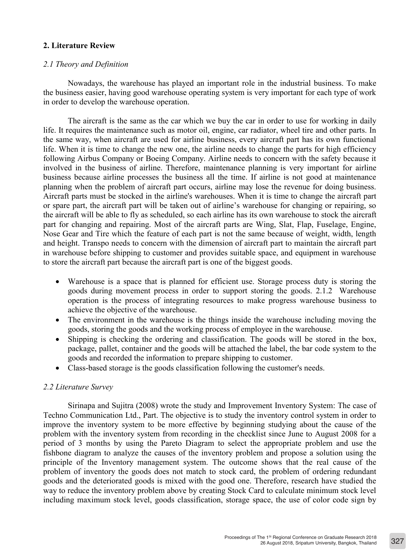## **2. Literature Review**

## *2.1 Theory and Definition*

Nowadays, the warehouse has played an important role in the industrial business. To make the business easier, having good warehouse operating system is very important for each type of work in order to develop the warehouse operation.

The aircraft is the same as the car which we buy the car in order to use for working in daily life. It requires the maintenance such as motor oil, engine, car radiator, wheel tire and other parts. In the same way, when aircraft are used for airline business, every aircraft part has its own functional life. When it is time to change the new one, the airline needs to change the parts for high efficiency following Airbus Company or Boeing Company. Airline needs to concern with the safety because it involved in the business of airline. Therefore, maintenance planning is very important for airline business because airline processes the business all the time. If airline is not good at maintenance planning when the problem of aircraft part occurs, airline may lose the revenue for doing business. Aircraft parts must be stocked in the airline's warehouses. When it is time to change the aircraft part or spare part, the aircraft part will be taken out of airline's warehouse for changing or repairing, so the aircraft will be able to fly as scheduled, so each airline has its own warehouse to stock the aircraft part for changing and repairing. Most of the aircraft parts are Wing, Slat, Flap, Fuselage, Engine, Nose Gear and Tire which the feature of each part is not the same because of weight, width, length and height. Transpo needs to concern with the dimension of aircraft part to maintain the aircraft part in warehouse before shipping to customer and provides suitable space, and equipment in warehouse to store the aircraft part because the aircraft part is one of the biggest goods.

- Warehouse is a space that is planned for efficient use. Storage process duty is storing the goods during movement process in order to support storing the goods. 2.1.2 Warehouse operation is the process of integrating resources to make progress warehouse business to achieve the objective of the warehouse.
- The environment in the warehouse is the things inside the warehouse including moving the goods, storing the goods and the working process of employee in the warehouse.
- Shipping is checking the ordering and classification. The goods will be stored in the box, package, pallet, container and the goods will be attached the label, the bar code system to the goods and recorded the information to prepare shipping to customer.
- Class-based storage is the goods classification following the customer's needs.

## *2.2 Literature Survey*

Sirinapa and Sujitra (2008) wrote the study and Improvement Inventory System: The case of Techno Communication Ltd., Part. The objective is to study the inventory control system in order to improve the inventory system to be more effective by beginning studying about the cause of the problem with the inventory system from recording in the checklist since June to August 2008 for a period of 3 months by using the Pareto Diagram to select the appropriate problem and use the fishbone diagram to analyze the causes of the inventory problem and propose a solution using the principle of the Inventory management system. The outcome shows that the real cause of the problem of inventory the goods does not match to stock card, the problem of ordering redundant goods and the deteriorated goods is mixed with the good one. Therefore, research have studied the way to reduce the inventory problem above by creating Stock Card to calculate minimum stock level including maximum stock level, goods classification, storage space, the use of color code sign by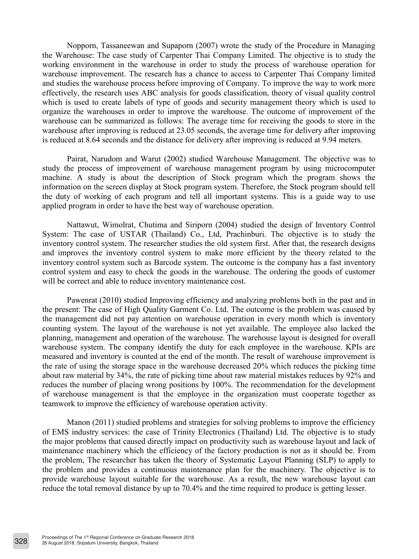Nopporn, Tassaneewan and Supaporn (2007) wrote the study of the Procedure in Managing the Warehouse: The case study of Carpenter Thai Company Limited. The objective is to study the working environment in the warehouse in order to study the process of warehouse operation for warehouse improvement. The research has a chance to access to Carpenter Thai Company limited and studies the warehouse process before improving of Company. To improve the way to work more effectively, the research uses ABC analysis for goods classification, theory of visual quality control which is used to create labels of type of goods and security management theory which is used to organize the warehouses in order to improve the warehouse. The outcome of improvement of the warehouse can be summarized as follows: The average time for receiving the goods to store in the warehouse after improving is reduced at 23.05 seconds, the average time for delivery after improving is reduced at 8.64 seconds and the distance for delivery after improving is reduced at 9.94 meters.

Pairat, Narudom and Warut (2002) studied Warehouse Management. The objective was to study the process of improvement of warehouse management program by using microcomputer machine. A study is about the description of Stock program which the program shows the information on the screen display at Stock program system. Therefore, the Stock program should tell the duty of working of each program and tell all important systems. This is a guide way to use applied program in order to have the best way of warehouse operation.

Nattawut, Wimolrat, Chutima and Siriporn (2004) studied the design of Inventory Control System: The case of USTAR (Thailand) Co., Ltd, Prachinburi. The objective is to study the inventory control system. The researcher studies the old system first. After that, the research designs and improves the inventory control system to make more efficient by the theory related to the inventory control system such as Barcode system. The outcome is the company has a fast inventory control system and easy to check the goods in the warehouse. The ordering the goods of customer will be correct and able to reduce inventory maintenance cost.

Pawenrat (2010) studied Improving efficiency and analyzing problems both in the past and in the present: The case of High Quality Garment Co. Ltd. The outcome is the problem was caused by the management did not pay attention on warehouse operation in every month which is inventory counting system. The layout of the warehouse is not yet available. The employee also lacked the planning, management and operation of the warehouse. The warehouse layout is designed for overall warehouse system. The company identify the duty for each employee in the warehouse. KPIs are measured and inventory is counted at the end of the month. The result of warehouse improvement is the rate of using the storage space in the warehouse decreased 20% which reduces the picking time about raw material by 34%, the rate of picking time about raw material mistakes reduces by 92% and reduces the number of placing wrong positions by 100%. The recommendation for the development of warehouse management is that the employee in the organization must cooperate together as teamwork to improve the efficiency of warehouse operation activity.

Manon (2011) studied problems and strategies for solving problems to improve the efficiency of EMS industry services: the case of Trinity Electronics (Thailand) Ltd. The objective is to study the major problems that caused directly impact on productivity such as warehouse layout and lack of maintenance machinery which the efficiency of the factory production is not as it should be. From the problem, The researcher has taken the theory of Systematic Layout Planning (SLP) to apply to the problem and provides a continuous maintenance plan for the machinery. The objective is to provide warehouse layout suitable for the warehouse. As a result, the new warehouse layout can reduce the total removal distance by up to 70.4% and the time required to produce is getting lesser.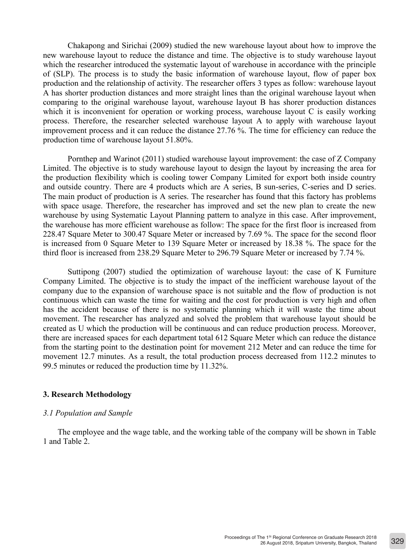Chakapong and Sirichai (2009) studied the new warehouse layout about how to improve the new warehouse layout to reduce the distance and time. The objective is to study warehouse layout which the researcher introduced the systematic layout of warehouse in accordance with the principle of (SLP). The process is to study the basic information of warehouse layout, flow of paper box production and the relationship of activity. The researcher offers 3 types as follow: warehouse layout A has shorter production distances and more straight lines than the original warehouse layout when comparing to the original warehouse layout, warehouse layout B has shorer production distances which it is inconvenient for operation or working process, warehouse layout C is easily working process. Therefore, the researcher selected warehouse layout A to apply with warehouse layout improvement process and it can reduce the distance 27.76 %. The time for efficiency can reduce the production time of warehouse layout 51.80%.

Pornthep and Warinot (2011) studied warehouse layout improvement: the case of Z Company Limited. The objective is to study warehouse layout to design the layout by increasing the area for the production flexibility which is cooling tower Company Limited for export both inside country and outside country. There are 4 products which are A series, B sun-series, C-series and D series. The main product of production is A series. The researcher has found that this factory has problems with space usage. Therefore, the researcher has improved and set the new plan to create the new warehouse by using Systematic Layout Planning pattern to analyze in this case. After improvement, the warehouse has more efficient warehouse as follow: The space for the first floor is increased from 228.47 Square Meter to 300.47 Square Meter or increased by 7.69 %. The space for the second floor is increased from 0 Square Meter to 139 Square Meter or increased by 18.38 %. The space for the third floor is increased from 238.29 Square Meter to 296.79 Square Meter or increased by 7.74 %.

Suttipong (2007) studied the optimization of warehouse layout: the case of K Furniture Company Limited. The objective is to study the impact of the inefficient warehouse layout of the company due to the expansion of warehouse space is not suitable and the flow of production is not continuous which can waste the time for waiting and the cost for production is very high and often has the accident because of there is no systematic planning which it will waste the time about movement. The researcher has analyzed and solved the problem that warehouse layout should be created as U which the production will be continuous and can reduce production process. Moreover, there are increased spaces for each department total 612 Square Meter which can reduce the distance from the starting point to the destination point for movement 212 Meter and can reduce the time for movement 12.7 minutes. As a result, the total production process decreased from 112.2 minutes to 99.5 minutes or reduced the production time by 11.32%.

## **3. Research Methodology**

### *3.1 Population and Sample*

The employee and the wage table, and the working table of the company will be shown in Table 1 and Table 2.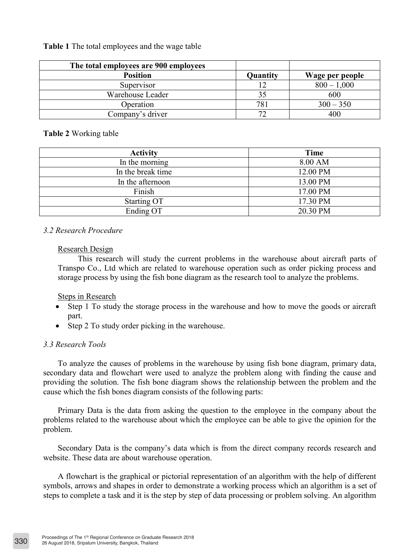**The total employees are 900 employees Position**<br> **Position**<br> **Position**<br> **Quantity Wage per people**<br>  $\frac{12}{12}$   $\frac{800 - 1.000}{1000}$  $12 \t\t 800 - 1,000$ Warehouse Leader 1 35 600 Operation 781 300 – 350 Company's driver 72 400

**Table 1** The total employees and the wage table

## **Table 2** Working table

| <b>Activity</b>   | Time     |  |
|-------------------|----------|--|
| In the morning    | 8.00 AM  |  |
| In the break time | 12.00 PM |  |
| In the afternoon  | 13.00 PM |  |
| Finish            | 17.00 PM |  |
| Starting OT       | 17.30 PM |  |
| Ending OT         | 20.30 PM |  |

# *3.2 Research Procedure*

## Research Design

This research will study the current problems in the warehouse about aircraft parts of Transpo Co., Ltd which are related to warehouse operation such as order picking process and storage process by using the fish bone diagram as the research tool to analyze the problems.

## Steps in Research

- Step 1 To study the storage process in the warehouse and how to move the goods or aircraft part.
- Step 2 To study order picking in the warehouse.

## *3.3 Research Tools*

To analyze the causes of problems in the warehouse by using fish bone diagram, primary data, secondary data and flowchart were used to analyze the problem along with finding the cause and providing the solution. The fish bone diagram shows the relationship between the problem and the cause which the fish bones diagram consists of the following parts:

Primary Data is the data from asking the question to the employee in the company about the problems related to the warehouse about which the employee can be able to give the opinion for the problem.

Secondary Data is the company's data which is from the direct company records research and website. These data are about warehouse operation.

A flowchart is the graphical or pictorial representation of an algorithm with the help of different symbols, arrows and shapes in order to demonstrate a working process which an algorithm is a set of steps to complete a task and it is the step by step of data processing or problem solving. An algorithm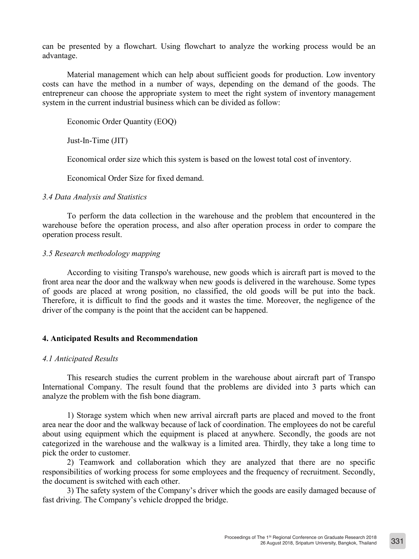can be presented by a flowchart. Using flowchart to analyze the working process would be an advantage.

Material management which can help about sufficient goods for production. Low inventory costs can have the method in a number of ways, depending on the demand of the goods. The entrepreneur can choose the appropriate system to meet the right system of inventory management system in the current industrial business which can be divided as follow:

Economic Order Quantity (EOQ)

Just-In-Time (JIT)

Economical order size which this system is based on the lowest total cost of inventory.

Economical Order Size for fixed demand.

### *3.4 Data Analysis and Statistics*

To perform the data collection in the warehouse and the problem that encountered in the warehouse before the operation process, and also after operation process in order to compare the operation process result.

### *3.5 Research methodology mapping*

According to visiting Transpo's warehouse, new goods which is aircraft part is moved to the front area near the door and the walkway when new goods is delivered in the warehouse. Some types of goods are placed at wrong position, no classified, the old goods will be put into the back. Therefore, it is difficult to find the goods and it wastes the time. Moreover, the negligence of the driver of the company is the point that the accident can be happened.

### **4. Anticipated Results and Recommendation**

### *4.1 Anticipated Results*

This research studies the current problem in the warehouse about aircraft part of Transpo International Company. The result found that the problems are divided into 3 parts which can analyze the problem with the fish bone diagram.

1) Storage system which when new arrival aircraft parts are placed and moved to the front area near the door and the walkway because of lack of coordination. The employees do not be careful about using equipment which the equipment is placed at anywhere. Secondly, the goods are not categorized in the warehouse and the walkway is a limited area. Thirdly, they take a long time to pick the order to customer.

2) Teamwork and collaboration which they are analyzed that there are no specific responsibilities of working process for some employees and the frequency of recruitment. Secondly, the document is switched with each other.

3) The safety system of the Company's driver which the goods are easily damaged because of fast driving. The Company's vehicle dropped the bridge.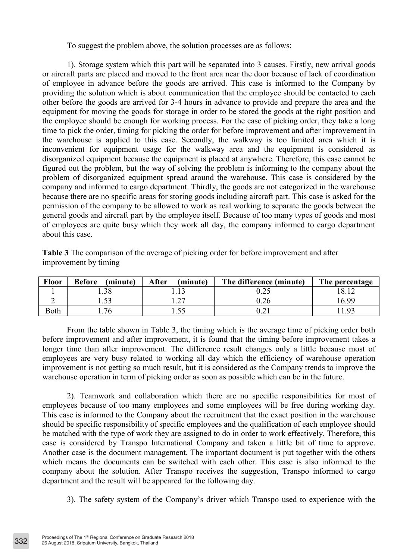To suggest the problem above, the solution processes are as follows:

1). Storage system which this part will be separated into 3 causes. Firstly, new arrival goods or aircraft parts are placed and moved to the front area near the door because of lack of coordination of employee in advance before the goods are arrived. This case is informed to the Company by providing the solution which is about communication that the employee should be contacted to each other before the goods are arrived for 3-4 hours in advance to provide and prepare the area and the equipment for moving the goods for storage in order to be stored the goods at the right position and the employee should be enough for working process. For the case of picking order, they take a long time to pick the order, timing for picking the order for before improvement and after improvement in the warehouse is applied to this case. Secondly, the walkway is too limited area which it is inconvenient for equipment usage for the walkway area and the equipment is considered as disorganized equipment because the equipment is placed at anywhere. Therefore, this case cannot be figured out the problem, but the way of solving the problem is informing to the company about the problem of disorganized equipment spread around the warehouse. This case is considered by the company and informed to cargo department. Thirdly, the goods are not categorized in the warehouse because there are no specific areas for storing goods including aircraft part. This case is asked for the permission of the company to be allowed to work as real working to separate the goods between the general goods and aircraft part by the employee itself. Because of too many types of goods and most of employees are quite busy which they work all day, the company informed to cargo department about this case.

| <b>Floor</b> | (minute)<br>Before | After<br>(minute) | The difference (minute) | The percentage |
|--------------|--------------------|-------------------|-------------------------|----------------|
|              |                    |                   |                         |                |
| ∽            |                    | $\mathcal{L}$     |                         | 699            |
| Both         | 76                 |                   |                         | 193            |

**Table 3** The comparison of the average of picking order for before improvement and after improvement by timing

From the table shown in Table 3, the timing which is the average time of picking order both before improvement and after improvement, it is found that the timing before improvement takes a longer time than after improvement. The difference result changes only a little because most of employees are very busy related to working all day which the efficiency of warehouse operation improvement is not getting so much result, but it is considered as the Company trends to improve the warehouse operation in term of picking order as soon as possible which can be in the future.

2). Teamwork and collaboration which there are no specific responsibilities for most of employees because of too many employees and some employees will be free during working day. This case is informed to the Company about the recruitment that the exact position in the warehouse should be specific responsibility of specific employees and the qualification of each employee should be matched with the type of work they are assigned to do in order to work effectively. Therefore, this case is considered by Transpo International Company and taken a little bit of time to approve. Another case is the document management. The important document is put together with the others which means the documents can be switched with each other. This case is also informed to the company about the solution. After Transpo receives the suggestion, Transpo informed to cargo department and the result will be appeared for the following day.

3). The safety system of the Company's driver which Transpo used to experience with the